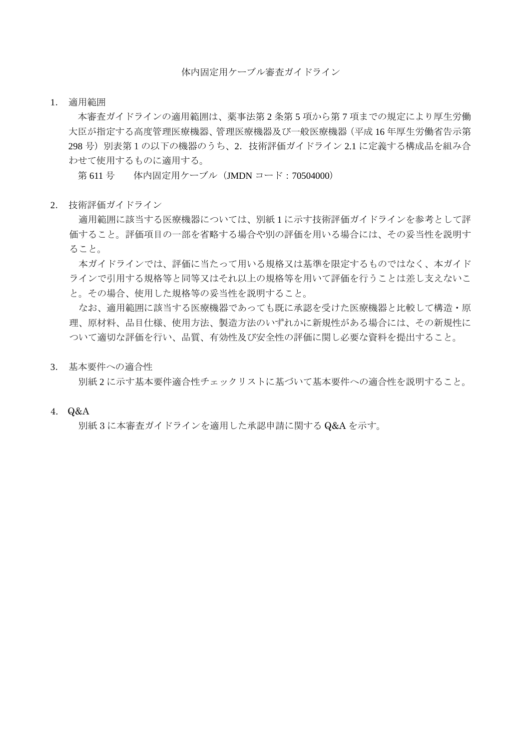体内固定用ケーブル審査ガイドライン

1. 適用範囲

本審査ガイドラインの適用範囲は、薬事法第 2 条第 5 項から第 7 項までの規定により厚生労働 大臣が指定する高度管理医療機器、管理医療機器及び一般医療機器(平成 16 年厚生労働省告示第 298 号)別表第1の以下の機器のうち、2.技術評価ガイドライン 2.1 に定義する構成品を組み合 わせて使用するものに適用する。

第 611 号 体内固定用ケーブル (JMDN コード: 70504000)

2. 技術評価ガイドライン

適用範囲に該当する医療機器については、別紙 1 に示す技術評価ガイドラインを参考として評 価すること。評価項目の一部を省略する場合や別の評価を用いる場合には、その妥当性を説明す ること。

本ガイドラインでは、評価に当たって用いる規格又は基準を限定するものではなく、本ガイド ラインで引用する規格等と同等又はそれ以上の規格等を用いて評価を行うことは差し支えないこ と。その場合、使用した規格等の妥当性を説明すること。

なお、適用範囲に該当する医療機器であっても既に承認を受けた医療機器と比較して構造・原 理、原材料、品目仕様、使用方法、製造方法のいずれかに新規性がある場合には、その新規性に ついて適切な評価を行い、品質、有効性及び安全性の評価に関し必要な資料を提出すること。

3. 基本要件への適合性

別紙 2 に示す基本要件適合性チェックリストに基づいて基本要件への適合性を説明すること。

4. Q&A

別紙 3 に本審査ガイドラインを適用した承認申請に関する Q&A を示す。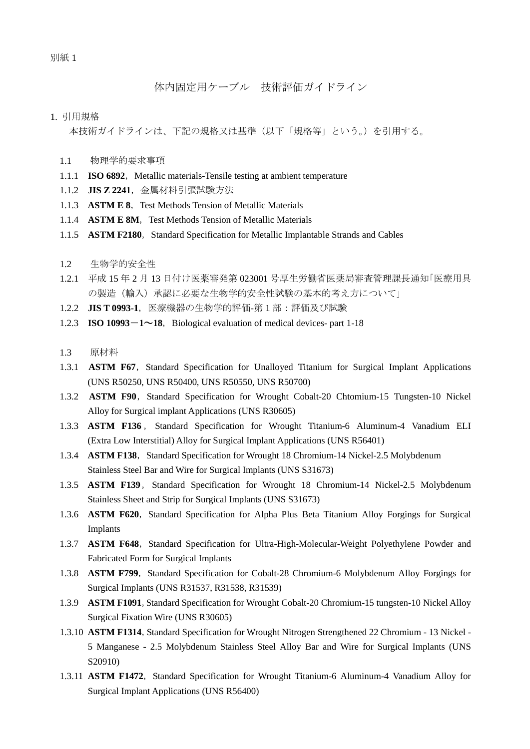別紙 1

## 体内固定用ケーブル 技術評価ガイドライン

### 1. 引用規格

本技術ガイドラインは、下記の規格又は基準(以下「規格等」という。)を引用する。

- 1.1 物理学的要求事項
- 1.1.1 **ISO 6892**, Metallic materials-Tensile testing at ambient temperature
- 1.1.2 **JIS Z 2241**,金属材料引張試験方法
- 1.1.3 **ASTM E 8**, Test Methods Tension of Metallic Materials
- 1.1.4 **ASTM E 8M**, Test Methods Tension of Metallic Materials
- 1.1.5 **ASTM F2180**, Standard Specification for Metallic Implantable Strands and Cables
- 1.2 生物学的安全性
- 1.2.1 平成 15 年 2 月 13 日付け医薬審発第 023001 号厚生労働省医薬局審査管理課長通知「医療用具 の製造(輸入)承認に必要な生物学的安全性試験の基本的考え方について」
- 1.2.2 **JIS T 0993-1**,医療機器の生物学的評価-第 1 部:評価及び試験
- 1.2.3 **ISO 10993-1~18**, Biological evaluation of medical devices- part 1-18
- 1.3 原材料
- 1.3.1 **ASTM F67**, Standard Specification for Unalloyed Titanium for Surgical Implant Applications (UNS R50250, UNS R50400, UNS R50550, UNS R50700)
- 1.3.2 **ASTM F90**, Standard Specification for Wrought Cobalt-20 Chtomium-15 Tungsten-10 Nickel Alloy for Surgical implant Applications (UNS R30605)
- 1.3.3 **ASTM F136** , Standard Specification for Wrought Titanium-6 Aluminum-4 Vanadium ELI (Extra Low Interstitial) Alloy for Surgical Implant Applications (UNS R56401)
- 1.3.4 **ASTM F138**, Standard Specification for Wrought 18 Chromium-14 Nickel-2.5 Molybdenum Stainless Steel Bar and Wire for Surgical Implants (UNS S31673)
- 1.3.5 **ASTM F139**, Standard Specification for Wrought 18 Chromium-14 Nickel-2.5 Molybdenum Stainless Sheet and Strip for Surgical Implants (UNS S31673)
- 1.3.6 **ASTM F620**, Standard Specification for Alpha Plus Beta Titanium Alloy Forgings for Surgical Implants
- 1.3.7 **ASTM F648**, Standard Specification for Ultra-High-Molecular-Weight Polyethylene Powder and Fabricated Form for Surgical Implants
- 1.3.8 **ASTM F799**, Standard Specification for Cobalt-28 Chromium-6 Molybdenum Alloy Forgings for Surgical Implants (UNS R31537, R31538, R31539)
- 1.3.9 **ASTM F1091**, Standard Specification for Wrought Cobalt-20 Chromium-15 tungsten-10 Nickel Alloy Surgical Fixation Wire (UNS R30605)
- 1.3.10 ASTM F1314, Standard Specification for Wrought Nitrogen Strengthened 22 Chromium 13 Nickel -5 Manganese - 2.5 Molybdenum Stainless Steel Alloy Bar and Wire for Surgical Implants (UNS S20910)
- 1.3.11 **ASTM F1472**, Standard Specification for Wrought Titanium-6 Aluminum-4 Vanadium Alloy for Surgical Implant Applications (UNS R56400)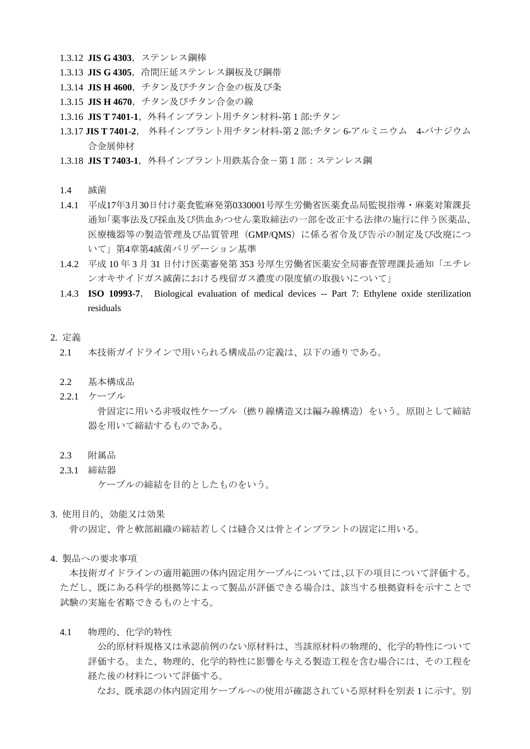- 1.3.12 **JIS G 4303**,ステンレス鋼棒
- 1.3.13 **JIS G 4305**,冷間圧延ステンレス鋼板及び鋼帯
- 1.3.14 **JIS H 4600**,チタン及びチタン合金の板及び条
- 1.3.15 **JIS H 4670**,チタン及びチタン合金の線
- 1.3.16 JIS T 7401-1, 外科インプラント用チタン材料-第1部:チタン
- 1.3.17 **JIS T 7401-2**, 外科インプラント用チタン材料-第 2 部:チタン 6-アルミニウム 4-バナジウム 合金展伸材
- 1.3.18 **JIS T 7403-1**,外科インプラント用鉄基合金-第1部:ステンレス鋼
- 1.4 滅菌
- 1.4.1 平成17年3月30日付け薬食監麻発第0330001号厚生労働省医薬食品局監視指導・麻薬対策課長 通知「薬事法及び採血及び供血あつせん業取締法の一部を改正する法律の施行に伴う医薬品、 医療機器等の製造管理及び品質管理(GMP/QMS)に係る省令及び告示の制定及び改廃につ いて」第4章第4滅菌バリデーション基準
- 1.4.2 平成 10 年 3 月 31 日付け医薬審発第 353 号厚生労働省医薬安全局審査管理課長通知「エチレ ンオキサイドガス滅菌における残留ガス濃度の限度値の取扱いについて」
- 1.4.3 **ISO 10993-7**, Biological evaluation of medical devices -- Part 7: Ethylene oxide sterilization residuals

#### 2. 定義

- 2.1 本技術ガイドラインで用いられる構成品の定義は、以下の通りである。
- 2.2 基本構成品
- 2.2.1 ケーブル 骨固定に用いる非吸収性ケーブル(撚り線構造又は編み線構造)をいう。原則として締結
- 2.3 附属品
- 2.3.1 締結器

ケーブルの締結を目的としたものをいう。

器を用いて締結するものである。

3. 使用目的、効能又は効果

骨の固定、骨と軟部組織の締結若しくは縫合又は骨とインプラントの固定に用いる。

4. 製品への要求事項

本技術ガイドラインの適用範囲の体内固定用ケーブルについては、以下の項目について評価する。 ただし、既にある科学的根拠等によって製品が評価できる場合は、該当する根拠資料を示すことで 試験の実施を省略できるものとする。

4.1 物理的、化学的特性

公的原材料規格又は承認前例のない原材料は、当該原材料の物理的、化学的特性について 評価する。また、物理的、化学的特性に影響を与える製造工程を含む場合には、その工程を 経た後の材料について評価する。

なお、既承認の体内固定用ケーブルへの使用が確認されている原材料を別表 1 に示す。別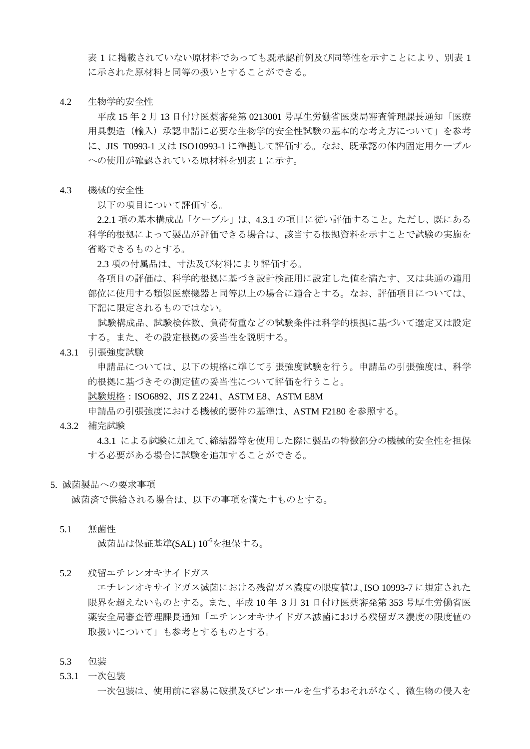表 1 に掲載されていない原材料であっても既承認前例及び同等性を示すことにより、別表 1 に示された原材料と同等の扱いとすることができる。

4.2 生物学的安全性

平成 15 年 2 月 13 日付け医薬審発第 0213001 号厚生労働省医薬局審査管理課長通知「医療 用具製造(輸入)承認申請に必要な生物学的安全性試験の基本的な考え方について」を参考 に、JIS T0993-1 又は ISO10993-1 に準拠して評価する。なお、既承認の体内固定用ケーブル への使用が確認されている原材料を別表1に示す。

4.3 機械的安全性

以下の項目について評価する。

 2.2.1 項の基本構成品「ケーブル」は、4.3.1 の項目に従い評価すること。ただし、既にある 科学的根拠によって製品が評価できる場合は、該当する根拠資料を示すことで試験の実施を 省略できるものとする。

2.3 項の付属品は、寸法及び材料により評価する。

各項目の評価は、科学的根拠に基づき設計検証用に設定した値を満たす、又は共通の適用 部位に使用する類似医療機器と同等以上の場合に適合とする。なお、評価項目については、 下記に限定されるものではない。

試験構成品、試験検体数、負荷荷重などの試験条件は科学的根拠に基づいて選定又は設定 する。また、その設定根拠の妥当性を説明する。

4.3.1 引張強度試験

申請品については、以下の規格に準じて引張強度試験を行う。申請品の引張強度は、科学 的根拠に基づきその測定値の妥当性について評価を行うこと。

<u>試験規格</u>:ISO6892、JIS Z 2241、ASTM E8、ASTM E8M

申請品の引張強度における機械的要件の基準は、ASTM F2180 を参照する。

4.3.2 補完試験

4.3.1 による試験に加えて、締結器等を使用した際に製品の特徴部分の機械的安全性を担保 する必要がある場合に試験を追加することができる。

5. 滅菌製品への要求事項

滅菌済で供給される場合は、以下の事項を満たすものとする。

5.1 無菌性

滅菌品は保証基準(SAL)  $10^{\circ}$ を担保する。

5.2 残留エチレンオキサイドガス

エチレンオキサイドガス滅菌における残留ガス濃度の限度値は、ISO 10993-7 に規定された 限界を超えないものとする。また、平成 10 年 3 月 31 日付け医薬審発第 353 号厚生労働省医 薬安全局審査管理課長通知「エチレンオキサイドガス滅菌における残留ガス濃度の限度値の 取扱いについて」も参考とするものとする。

- 5.3 包装
- 5.3.1 一次包装

一次包装は、使用前に容易に破損及びピンホールを生ずるおそれがなく、微生物の侵入を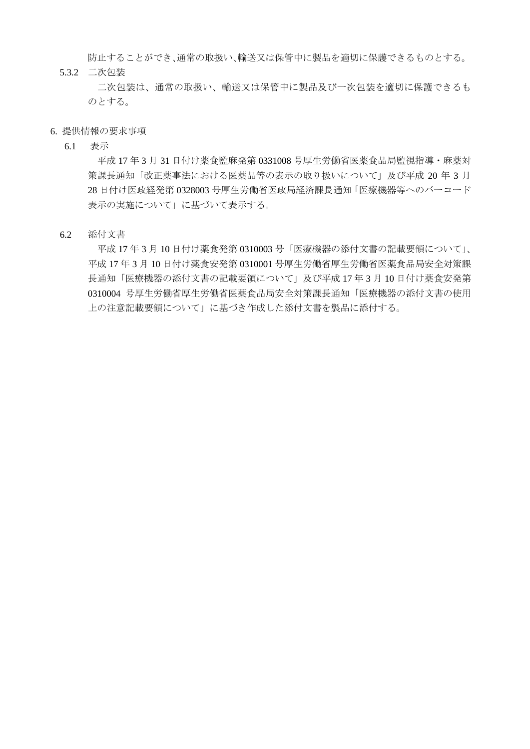防止することができ、通常の取扱い、輸送又は保管中に製品を適切に保護できるものとする。 5.3.2 二次包装

二次包装は、通常の取扱い、輸送又は保管中に製品及び一次包装を適切に保護できるも のとする。

- 6. 提供情報の要求事項
	- 6.1 表示

平成 17 年 3 月 31 日付け薬食監麻発第 0331008 号厚生労働省医薬食品局監視指導・麻薬対 策課長通知「改正薬事法における医薬品等の表示の取り扱いについて」及び平成 20 年 3 月 28 日付け医政経発第 0328003 号厚生労働省医政局経済課長通知「医療機器等へのバーコード 表示の実施について」に基づいて表示する。

6.2 添付文書

平成 17 年 3 月 10 日付け薬食発第 0310003 号「医療機器の添付文書の記載要領について」、 平成 17 年 3 月 10 日付け薬食安発第 0310001 号厚生労働省厚生労働省医薬食品局安全対策課 長通知「医療機器の添付文書の記載要領について」及び平成 17 年 3 月 10 日付け薬食安発第 0310004 号厚生労働省厚生労働省医薬食品局安全対策課長通知「医療機器の添付文書の使用 上の注意記載要領について」に基づき作成した添付文書を製品に添付する。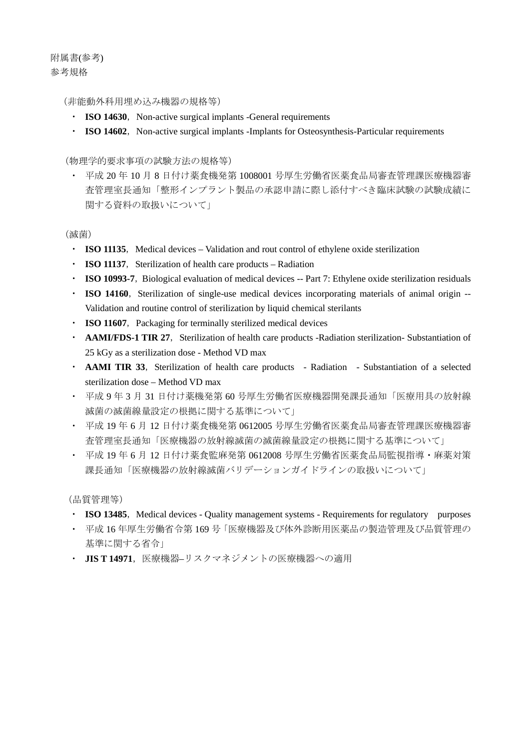附属書(参考) 参考規格

(非能動外科用埋め込み機器の規格等)

- **ISO 14630**, Non-active surgical implants -General requirements
- **ISO 14602**, Non-active surgical implants -Implants for Osteosynthesis-Particular requirements

(物理学的要求事項の試験方法の規格等)

・ 平成 20 年 10 月 8 日付け薬食機発第 1008001 号厚生労働省医薬食品局審査管理課医療機器審 査管理室長通知「整形インプラント製品の承認申請に際し添付すべき臨床試験の試験成績に 関する資料の取扱いについて」

(滅菌)

- **ISO 11135**, Medical devices Validation and rout control of ethylene oxide sterilization
- **ISO 11137**, Sterilization of health care products Radiation
- **ISO 10993-7**, Biological evaluation of medical devices -- Part 7: Ethylene oxide sterilization residuals
- **ISO 14160**, Sterilization of single-use medical devices incorporating materials of animal origin --Validation and routine control of sterilization by liquid chemical sterilants
- **ISO 11607**, Packaging for terminally sterilized medical devices
- **AAMI/FDS-1 TIR 27**, Sterilization of health care products -Radiation sterilization- Substantiation of 25 kGy as a sterilization dose - Method VD max
- **AAMI TIR 33**, Sterilization of health care products Radiation Substantiation of a selected sterilization dose – Method VD max
- ・ 平成 9 年 3 月 31 日付け薬機発第 60 号厚生労働省医療機器開発課長通知「医療用具の放射線 滅菌の滅菌線量設定の根拠に関する基準について」
- ・ 平成 19 年 6 月 12 日付け薬食機発第 0612005 号厚生労働省医薬食品局審査管理課医療機器審 査管理室長通知「医療機器の放射線滅菌の滅菌線量設定の根拠に関する基準について」
- ・ 平成 19 年 6 月 12 日付け薬食監麻発第 0612008 号厚生労働省医薬食品局監視指導・麻薬対策 課長通知「医療機器の放射線滅菌バリデーションガイドラインの取扱いについて」

(品質管理等)

- **ISO 13485**, Medical devices Quality management systems Requirements for regulatory purposes
- ・ 平成 16 年厚生労働省令第 169 号「医療機器及び体外診断用医薬品の製造管理及び品質管理の 基準に関する省令」
- ・ **JIS T 14971**,医療機器–リスクマネジメントの医療機器への適用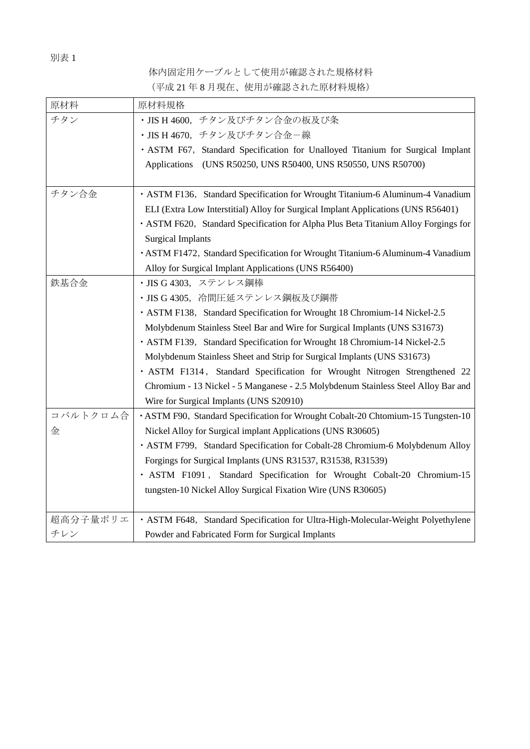## 別表 1

体内固定用ケーブルとして使用が確認された規格材料 (平成 21 年 8 月現在、使用が確認された原材料規格)

| 原材料      | 原材料規格                                                                               |  |  |  |
|----------|-------------------------------------------------------------------------------------|--|--|--|
| チタン      | · JIS H 4600, チタン及びチタン合金の板及び条                                                       |  |  |  |
|          | · JIS H 4670, チタン及びチタン合金一線                                                          |  |  |  |
|          | · ASTM F67, Standard Specification for Unalloyed Titanium for Surgical Implant      |  |  |  |
|          | Applications (UNS R50250, UNS R50400, UNS R50550, UNS R50700)                       |  |  |  |
|          |                                                                                     |  |  |  |
| チタン合金    | • ASTM F136, Standard Specification for Wrought Titanium-6 Aluminum-4 Vanadium      |  |  |  |
|          | ELI (Extra Low Interstitial) Alloy for Surgical Implant Applications (UNS R56401)   |  |  |  |
|          | · ASTM F620, Standard Specification for Alpha Plus Beta Titanium Alloy Forgings for |  |  |  |
|          | <b>Surgical Implants</b>                                                            |  |  |  |
|          | · ASTM F1472, Standard Specification for Wrought Titanium-6 Aluminum-4 Vanadium     |  |  |  |
|          | Alloy for Surgical Implant Applications (UNS R56400)                                |  |  |  |
| 鉄基合金     | · JIS G 4303, ステンレス鋼棒                                                               |  |  |  |
|          | · JIS G 4305, 冷間圧延ステンレス鋼板及び鋼帯                                                       |  |  |  |
|          | • ASTM F138, Standard Specification for Wrought 18 Chromium-14 Nickel-2.5           |  |  |  |
|          | Molybdenum Stainless Steel Bar and Wire for Surgical Implants (UNS S31673)          |  |  |  |
|          | · ASTM F139, Standard Specification for Wrought 18 Chromium-14 Nickel-2.5           |  |  |  |
|          | Molybdenum Stainless Sheet and Strip for Surgical Implants (UNS S31673)             |  |  |  |
|          | · ASTM F1314, Standard Specification for Wrought Nitrogen Strengthened 22           |  |  |  |
|          | Chromium - 13 Nickel - 5 Manganese - 2.5 Molybdenum Stainless Steel Alloy Bar and   |  |  |  |
|          | Wire for Surgical Implants (UNS S20910)                                             |  |  |  |
| コバルトクロム合 | • ASTM F90, Standard Specification for Wrought Cobalt-20 Chtomium-15 Tungsten-10    |  |  |  |
| 金        | Nickel Alloy for Surgical implant Applications (UNS R30605)                         |  |  |  |
|          | · ASTM F799, Standard Specification for Cobalt-28 Chromium-6 Molybdenum Alloy       |  |  |  |
|          | Forgings for Surgical Implants (UNS R31537, R31538, R31539)                         |  |  |  |
|          | · ASTM F1091, Standard Specification for Wrought Cobalt-20 Chromium-15              |  |  |  |
|          | tungsten-10 Nickel Alloy Surgical Fixation Wire (UNS R30605)                        |  |  |  |
|          |                                                                                     |  |  |  |
| 超高分子量ポリエ | · ASTM F648, Standard Specification for Ultra-High-Molecular-Weight Polyethylene    |  |  |  |
| チレン      | Powder and Fabricated Form for Surgical Implants                                    |  |  |  |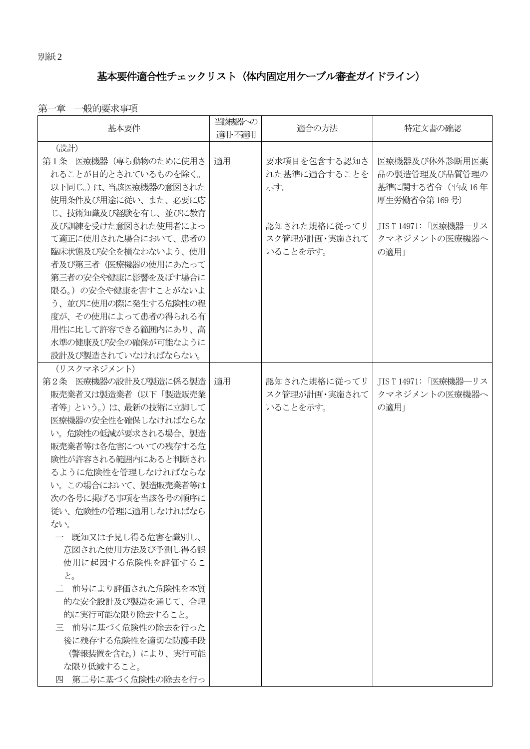# 基本要件適合性チェックリスト(体内固定用ケーブル審査ガイドライン)

# 第一章 一般的要求事項

| 基本要件                  | 当刻器への<br>適用·不適用 | 適合の方法         | 特定文書の確認               |
|-----------------------|-----------------|---------------|-----------------------|
| (設計)                  |                 |               |                       |
| 第1条 医療機器 (専ら動物のために使用さ | 適用              | 要求項目を包含する認知さ  | 医療機器及び体外診断用医薬         |
| れることが目的とされているものを除く。   |                 | れた基準に適合することを  | 品の製造管理及び品質管理の         |
| 以下同じ。)は、当該医療機器の意図された  |                 | 示す。           | 基準に関する省令 (平成16年       |
| 使用条件及び用途に従い、また、必要に応   |                 |               | 厚生労働省令第169号)          |
| じ、技術知識及び経験を有し、並びに教育   |                 |               |                       |
| 及び訓練を受けた意図された使用者によっ   |                 | 認知された規格に従ってリ  | JIS T 14971: 「医療機器―リス |
| て適正に使用された場合において、患者の   |                 | スク管理が計画・実施されて | クマネジメントの医療機器へ         |
| 臨床状態及び安全を損なわないよう、使用   |                 | いることを示す。      | の適用」                  |
| 者及び第三者(医療機器の使用にあたって   |                 |               |                       |
| 第三者の安全や健康に影響を及ぼす場合に   |                 |               |                       |
| 限る。)の安全や健康を害すことがないよ   |                 |               |                       |
| う、並びに使用の際に発生する危険性の程   |                 |               |                       |
| 度が、その使用によって患者の得られる有   |                 |               |                       |
| 用性に比して許容できる範囲内にあり、高   |                 |               |                       |
| 水準の健康及び安全の確保が可能なように   |                 |               |                       |
| 設計及び製造されていなければならない。   |                 |               |                       |
| (リスクマネジメント)           |                 |               |                       |
| 第2条 医療機器の設計及び製造に係る製造  | 適用              | 認知された規格に従ってリ  | JIS T 14971: 「医療機器―リス |
| 販売業者又は製造業者(以下「製造販売業   |                 | スク管理が計画・実施されて | クマネジメントの医療機器へ         |
| 者等」という。)は、最新の技術に立脚して  |                 | いることを示す。      | の適用」                  |
| 医療機器の安全性を確保しなければならな   |                 |               |                       |
| い。危険性の低減が要求される場合、製造   |                 |               |                       |
| 販売業者等は各危害についての残存する危   |                 |               |                       |
| 険性が許容される範囲内にあると判断され   |                 |               |                       |
| るように危険性を管理しなければならな    |                 |               |                       |
| い。この場合において、製造販売業者等は   |                 |               |                       |
| 次の各号に掲げる事項を当該各号の順序に   |                 |               |                       |
| 従い、危険性の管理に適用しなければなら   |                 |               |                       |
| ない。                   |                 |               |                       |
| 一 既知又は予見し得る危害を識別し、    |                 |               |                       |
| 意図された使用方法及び予測し得る誤     |                 |               |                       |
| 使用に起因する危険性を評価するこ      |                 |               |                       |
| と。                    |                 |               |                       |
| 二 前号により評価された危険性を本質    |                 |               |                       |
| 的な安全設計及び製造を通じて、合理     |                 |               |                       |
| 的に実行可能な限り除去すること。      |                 |               |                       |
| 三 前号に基づく危険性の除去を行った    |                 |               |                       |
| 後に残存する危険性を適切な防護手段     |                 |               |                       |
| (警報装置を含む。)により、実行可能    |                 |               |                       |
| な限り低減すること。            |                 |               |                       |
| 四 第二号に基づく危険性の除去を行っ    |                 |               |                       |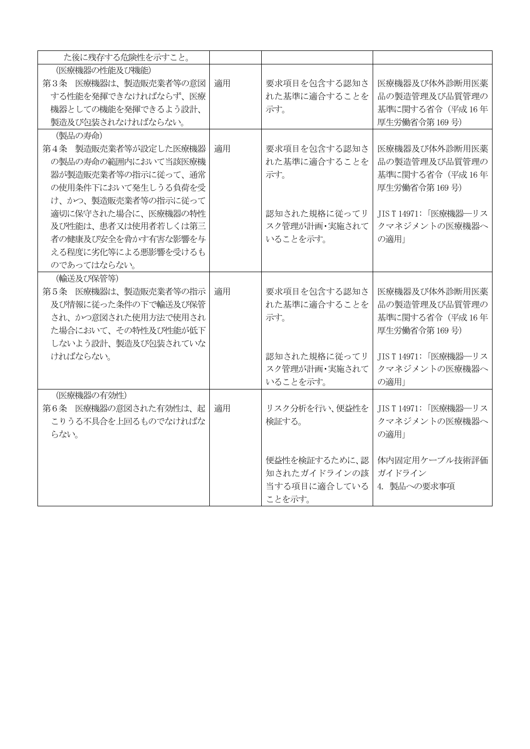| た後に残存する危険性を示すこと。     |    |               |                        |
|----------------------|----|---------------|------------------------|
| (医療機器の性能及び機能)        |    |               |                        |
| 第3条 医療機器は、製造販売業者等の意図 | 適用 | 要求項目を包含する認知さ  | 医療機器及び体外診断用医薬          |
| する性能を発揮できなければならず、医療  |    | れた基準に適合することを  | 品の製造管理及び品質管理の          |
| 機器としての機能を発揮できるよう設計、  |    | 示す。           | 基準に関する省令 (平成16年        |
| 製造及び包装されなければならない。    |    |               | 厚生労働省令第169号)           |
| (製品の寿命)              |    |               |                        |
| 第4条 製造販売業者等が設定した医療機器 | 適用 | 要求項目を包含する認知さ  | 医療機器及び体外診断用医薬          |
| の製品の寿命の範囲内において当該医療機  |    | れた基準に適合することを  | 品の製造管理及び品質管理の          |
| 器が製造販売業者等の指示に従って、通常  |    | 示す。           | 基準に関する省令 (平成16年        |
| の使用条件下において発生しうる負荷を受  |    |               | 厚生労働省令第169号)           |
| け、かつ、製造販売業者等の指示に従って  |    |               |                        |
| 適切に保守された場合に、医療機器の特性  |    | 認知された規格に従ってリ  | JIST14971:「医療機器––リス    |
| 及び性能は、患者又は使用者若しくは第三  |    | スク管理が計画・実施されて | クマネジメントの医療機器へ          |
| 者の健康及び安全を脅かす有害な影響を与  |    | いることを示す。      | の適用」                   |
| える程度に劣化等による悪影響を受けるも  |    |               |                        |
| のであってはならない。          |    |               |                        |
| (輸送及び保管等)            |    |               |                        |
| 第5条 医療機器は、製造販売業者等の指示 | 適用 | 要求項目を包含する認知さ  | 医療機器及び体外診断用医薬          |
| 及び情報に従った条件の下で輸送及び保管  |    | れた基準に適合することを  | 品の製造管理及び品質管理の          |
| され、かつ意図された使用方法で使用され  |    | 示す。           | 基準に関する省令 (平成16年        |
| た場合において、その特性及び性能が低下  |    |               | 厚生労働省令第169号)           |
| しないよう設計、製造及び包装されていな  |    |               |                        |
| ければならない。             |    | 認知された規格に従ってリ  | JIS T 14971: 「医療機器––リス |
|                      |    | スク管理が計画・実施されて | クマネジメントの医療機器へ          |
|                      |    | いることを示す。      | の適用」                   |
| (医療機器の有効性)           |    |               |                        |
| 第6条 医療機器の意図された有効性は、起 | 適用 | リスク分析を行い、便益性を | JIST14971:「医療機器–リス     |
| こりうる不具合を上回るものでなければな  |    | 検証する。         | クマネジメントの医療機器へ          |
| らない。                 |    |               | の適用」                   |
|                      |    |               |                        |
|                      |    | 便益性を検証するために、認 | 体内固定用ケーブル技術評価          |
|                      |    | 知されたガイドラインの該  | ガイドライン                 |
|                      |    | 当する項目に適合している  | 4. 製品への要求事項            |
|                      |    | ことを示す。        |                        |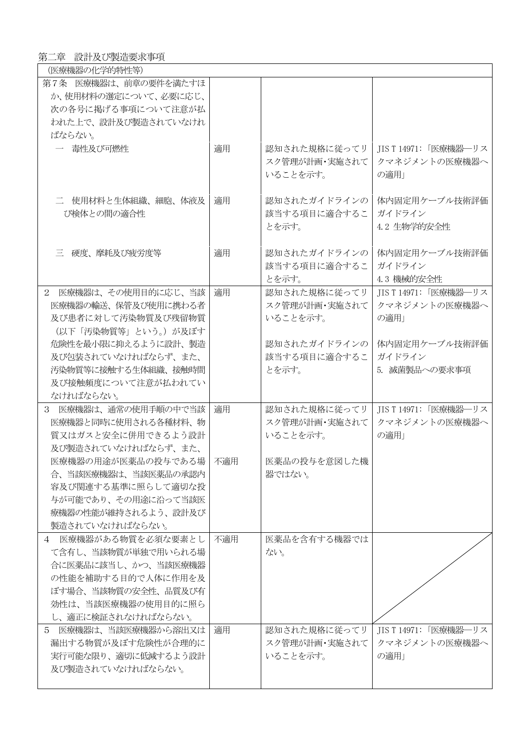# 第二章 設計及び製造要求事項

| (医療機器の化学的特性等)           |     |               |                       |
|-------------------------|-----|---------------|-----------------------|
| 第7条 医療機器は、前章の要件を満たすほ    |     |               |                       |
| か、使用材料の選定について、必要に応じ、    |     |               |                       |
| 次の各号に掲げる事項について注意が払      |     |               |                       |
| われた上で、設計及び製造されていなけれ     |     |               |                       |
| ばならない。                  |     |               |                       |
| 一 毒性及び可燃性               | 適用  | 認知された規格に従ってリ  | JIS T 14971: 「医療機器―リス |
|                         |     | スク管理が計画・実施されて | クマネジメントの医療機器へ         |
|                         |     | いることを示す。      | の適用」                  |
|                         |     |               |                       |
|                         |     |               |                       |
| 二 使用材料と生体組織、細胞、体液及      | 適用  | 認知されたガイドラインの  | 体内固定用ケーブル技術評価         |
| び検体との間の適合性              |     | 該当する項目に適合するこ  | ガイドライン                |
|                         |     | とを示す。         | 4.2 生物学的安全性           |
|                         |     |               |                       |
| 三 硬度、摩耗及び疲労度等           | 適用  | 認知されたガイドラインの  | 体内固定用ケーブル技術評価         |
|                         |     | 該当する項目に適合するこ  | ガイドライン                |
|                         |     | とを示す。         | 4.3 機械的安全性            |
| 2 医療機器は、その使用目的に応じ、当該    | 適用  | 認知された規格に従ってリ  | JIS T 14971: 「医療機器―リス |
| 医療機器の輸送、保管及び使用に携わる者     |     | スク管理が計画・実施されて | クマネジメントの医療機器へ         |
| 及び患者に対して汚染物質及び残留物質      |     | いることを示す。      | の適用」                  |
| (以下「汚染物質等」という。) が及ぼす    |     |               |                       |
| 危険性を最小限に抑えるように設計、製造     |     | 認知されたガイドラインの  | 体内固定用ケーブル技術評価         |
| 及び包装されていなければならず、また、     |     | 該当する項目に適合するこ  | ガイドライン                |
| 汚染物質等に接触する生体組織、接触時間     |     | とを示す。         | 5. 滅菌製品への要求事項         |
| 及び接触頻度について注意が払われてい      |     |               |                       |
| なければならない。               |     |               |                       |
| 3 医療機器は、通常の使用手順の中で当該    | 適用  | 認知された規格に従ってリ  | JIS T 14971: 「医療機器―リス |
| 医療機器と同時に使用される各種材料、物     |     | スク管理が計画・実施されて | クマネジメントの医療機器へ         |
|                         |     | いることを示す。      |                       |
| 質又はガスと安全に併用できるよう設計      |     |               | の適用」                  |
| 及び製造されていなければならず、また、     |     |               |                       |
| 医療機器の用涂が医薬品の投与である場 不適用  |     | 医薬品の投与を意図した機  |                       |
| 合、当該医療機器は、当該医薬品の承認内     |     | 器ではない。        |                       |
| 容及び関連する基準に照らして適切な投      |     |               |                       |
| 与が可能であり、その用途に沿って当該医     |     |               |                       |
| 療機器の性能が維持されるよう、設計及び     |     |               |                       |
| 製造されていなければならない。         |     |               |                       |
| 4 医療機器がある物質を必須な要素とし     | 不適用 | 医薬品を含有する機器では  |                       |
| て含有し、当該物質が単独で用いられる場     |     | ない。           |                       |
| 合に医薬品に該当し、かつ、当該医療機器     |     |               |                       |
| の性能を補助する目的で人体に作用を及      |     |               |                       |
| ぼす場合、当該物質の安全性、品質及び有     |     |               |                       |
| 効性は、当該医療機器の使用目的に照ら      |     |               |                       |
| し、適正に検証されなければならない。      |     |               |                       |
| 医療機器は、当該医療機器から溶出又は<br>5 | 適用  | 認知された規格に従ってリ  | JIS T 14971: 「医療機器―リス |
| 漏出する物質が及ぼす危険性が合理的に      |     | スク管理が計画・実施されて | クマネジメントの医療機器へ         |
| 実行可能な限り、適切に低減するよう設計     |     | いることを示す。      | の適用」                  |
| 及び製造されていなければならない。       |     |               |                       |
|                         |     |               |                       |
|                         |     |               |                       |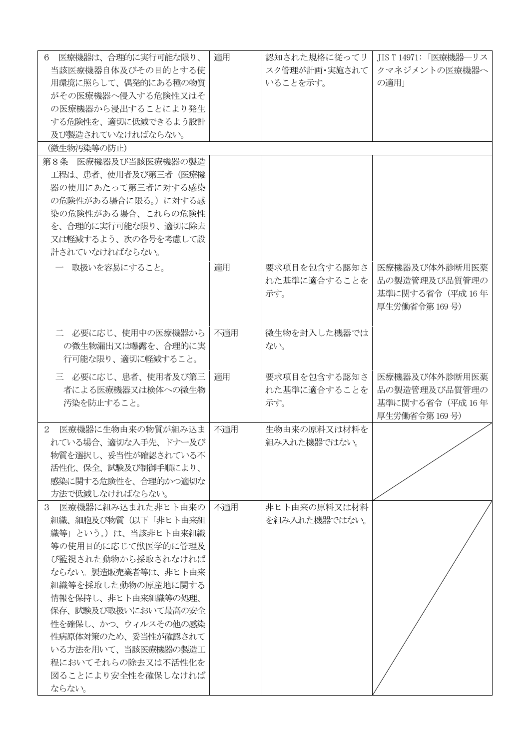| 6 医療機器は、合理的に実行可能な限り、               | 適用  | 認知された規格に従ってリ  | JIS T 14971: 「医療機器―リス |
|------------------------------------|-----|---------------|-----------------------|
| 当該医療機器自体及びその目的とする使                 |     | スク管理が計画・実施されて | クマネジメントの医療機器へ         |
| 用環境に照らして、偶発的にある種の物質                |     | いることを示す。      | の適用」                  |
| がその医療機器へ侵入する危険性又はそ                 |     |               |                       |
| の医療機器から浸出することにより発生                 |     |               |                       |
| する危険性を、適切に低減できるよう設計                |     |               |                       |
| 及び製造されていなければならない。                  |     |               |                       |
| (微生物汚染等の防止)                        |     |               |                       |
| 第8条 医療機器及び当該医療機器の製造                |     |               |                       |
| 工程は、患者、使用者及び第三者(医療機                |     |               |                       |
| 器の使用にあたって第三者に対する感染                 |     |               |                       |
| の危険性がある場合に限る。)に対する感                |     |               |                       |
| 染の危険性がある場合、これらの危険性                 |     |               |                       |
| を、合理的に実行可能な限り、適切に除去                |     |               |                       |
| 又は軽減するよう、次の各号を考慮して設                |     |               |                       |
| 計されていなければならない。                     |     |               |                       |
| 一 取扱いを容易にすること。                     | 適用  | 要求項目を包含する認知さ  | 医療機器及び体外診断用医薬         |
|                                    |     | れた基準に適合することを  | 品の製造管理及び品質管理の         |
|                                    |     | 示す。           | 基準に関する省令 (平成16年       |
|                                    |     |               | 厚生労働省令第169号)          |
|                                    |     |               |                       |
| 二 必要に応じ、使用中の医療機器から                 | 不適用 | 微生物を封入した機器では  |                       |
| の微生物漏出又は曝露を、合理的に実                  |     | ない。           |                       |
| 行可能な限り、適切に軽減すること。                  |     |               |                       |
| 三 必要に応じ、患者、使用者及び第三                 | 適用  | 要求項目を包含する認知さ  | 医療機器及び体外診断用医薬         |
| 者による医療機器又は検体への微生物                  |     | れた基準に適合することを  | 品の製造管理及び品質管理の         |
| 汚染を防止すること。                         |     | 示す。           | 基準に関する省令 (平成16年       |
|                                    |     |               | 厚生労働省令第169号)          |
| 医療機器に生物由来の物質が組み込ま<br>$\mathcal{L}$ | 不適用 | 生物由来の原料又は材料を  |                       |
| れている場合、適切な入手先、ドナー及び                |     | 組み入れた機器ではない。  |                       |
| 物質を選択し、妥当性が確認されている不                |     |               |                       |
| 活性化、保全、試験及び制御手順により、                |     |               |                       |
| 感染に関する危険性を、合理的かつ適切な                |     |               |                       |
| 方法で低減しなければならない。                    |     |               |                       |
| 医療機器に組み込まれた非ヒト由来の<br>3             | 不適用 | 非ヒト由来の原料又は材料  |                       |
| 組織、細胞及び物質(以下「非ヒト由来組                |     | を組み入れた機器ではない。 |                       |
| 織等」という。)は、当該非ヒト由来組織                |     |               |                       |
| 等の使用目的に応じて獣医学的に管理及                 |     |               |                       |
| び監視された動物から採取されなければ                 |     |               |                       |
| ならない。製造販売業者等は、非ヒト由来                |     |               |                       |
| 組織等を採取した動物の原産地に関する                 |     |               |                       |
| 情報を保持し、非ヒト由来組織等の処理、                |     |               |                       |
| 保存、試験及び取扱いにおいて最高の安全                |     |               |                       |
| 性を確保し、かつ、ウィルスその他の感染                |     |               |                       |
| 性病原体対策のため、妥当性が確認されて                |     |               |                       |
| いる方法を用いて、当該医療機器の製造工                |     |               |                       |
| 程においてそれらの除去又は不活性化を                 |     |               |                       |
| 図ることにより安全性を確保しなければ                 |     |               |                       |
| ならない。                              |     |               |                       |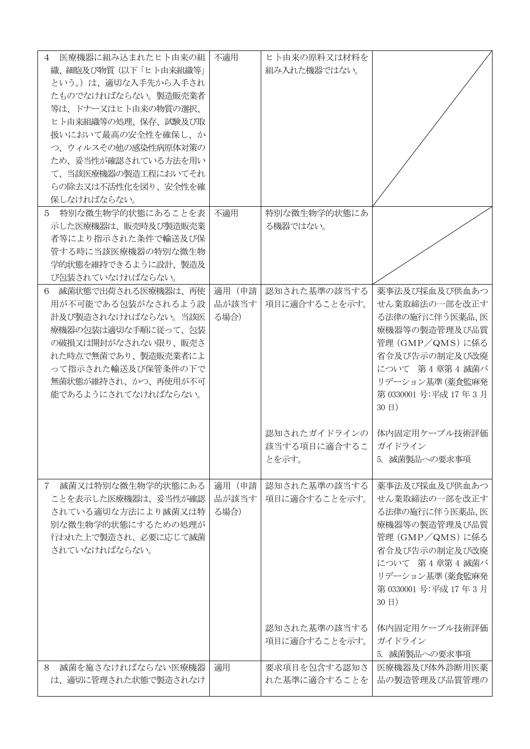| 医療機器に組み込まれたヒト由来の組<br>4           | 不適用   | ヒト由来の原料又は材料を  |                         |
|----------------------------------|-------|---------------|-------------------------|
|                                  |       | 組み入れた機器ではない。  |                         |
| 織、細胞及び物質(以下「ヒト由来組織等」             |       |               |                         |
| という。)は、適切な入手先から入手され              |       |               |                         |
| たものでなければならない。製造販売業者              |       |               |                         |
| 等は、ドナー又はヒト由来の物質の選択、              |       |               |                         |
| ヒト由来組織等の処理、保存、試験及び取              |       |               |                         |
| 扱いにおいて最高の安全性を確保し、か               |       |               |                         |
| つ、ウィルスその他の感染性病原体対策の              |       |               |                         |
| ため、妥当性が確認されている方法を用い              |       |               |                         |
| て、当該医療機器の製造工程においてそれ              |       |               |                         |
| らの除去又は不活性化を図り、安全性を確              |       |               |                         |
|                                  |       |               |                         |
| 保しなければならない。                      |       |               |                         |
| 特別な微生物学的状態にあることを表<br>5           | 不適用   | 特別な微生物学的状態にあ  |                         |
| 示した医療機器は、販売時及び製造販売業              |       | る機器ではない。      |                         |
| 者等により指示された条件で輸送及び保               |       |               |                         |
| 管する時に当該医療機器の特別な微生物               |       |               |                         |
| 学的状態を維持できるように設計、製造及              |       |               |                         |
| び包装されていなければならない。                 |       |               |                         |
| 6 滅菌状態で出荷される医療機器は、再使             | 適用(申請 | 認知された基準の該当する  | 薬事法及び採血及び供血あつ           |
|                                  |       |               |                         |
| 用が不可能である包装がなされるよう設               | 品が該当す | 項目に適合することを示す。 | せん業取締法の一部を改正す           |
| 計及び製造されなければならない。 当該医             | る場合)  |               | る法律の施行に伴う医薬品、医          |
| 療機器の包装は適切な手順に従って、包装              |       |               | 療機器等の製造管理及び品質           |
| の破損又は開封がなされない限り、販売さ              |       |               | 管理 (GMP/QMS) に係る        |
| れた時点で無菌であり、製造販売業者によ              |       |               | 省令及び告示の制定及び改廃           |
| って指示された輸送及び保管条件の下で               |       |               | について 第4章第4滅菌バ           |
| 無菌状態が維持され、 かつ、 再使用が不可            |       |               | リデーション基準 (薬食監麻発         |
| 能であるようにされてなければならない。              |       |               | 第 0330001 号:平成 17 年 3 月 |
|                                  |       |               | 30 目)                   |
|                                  |       |               |                         |
|                                  |       |               |                         |
|                                  |       | 認知されたガイドラインの  | 体内固定用ケーブル技術評価           |
|                                  |       | 該当する項目に適合するこ  | ガイドライン                  |
|                                  |       | とを示す。         | 5. 滅菌製品への要求事項           |
|                                  |       |               |                         |
| 滅菌又は特別な微生物学的状態にある<br>$7^{\circ}$ | 適用(申請 | 認知された基準の該当する  | 薬事法及び採血及び供血あつ           |
| ことを表示した医療機器は、妥当性が確認              | 品が該当す | 項目に適合することを示す。 | せん業取締法の一部を改正す           |
| されている適切な方法により滅菌又は特               | る場合)  |               | る法律の施行に伴う医薬品、医          |
| 別な微生物学的状態にするための処理が               |       |               | 療機器等の製造管理及び品質           |
|                                  |       |               |                         |
| 行われた上で製造され、必要に応じて滅菌              |       |               | 管理 (GMP/QMS) に係る        |
| されていなければならない。                    |       |               | 省令及び告示の制定及び改廃           |
|                                  |       |               | について 第4章第4滅菌バ           |
|                                  |       |               | リデーション基準 (薬食監麻発         |
|                                  |       |               | 第 0330001 号:平成 17 年 3 月 |
|                                  |       |               | 30 目)                   |
|                                  |       |               |                         |
|                                  |       | 認知された基準の該当する  | 体内固定用ケーブル技術評価           |
|                                  |       |               |                         |
|                                  |       | 項目に適合することを示す。 | ガイドライン                  |
|                                  |       |               | 5. 滅菌製品への要求事項           |
| 滅菌を施さなければならない医療機器<br>8           | 適用    | 要求項目を包含する認知さ  | 医療機器及び体外診断用医薬           |
| は、適切に管理された状態で製造されなけ              |       | れた基準に適合することを  | 品の製造管理及び品質管理の           |
|                                  |       |               |                         |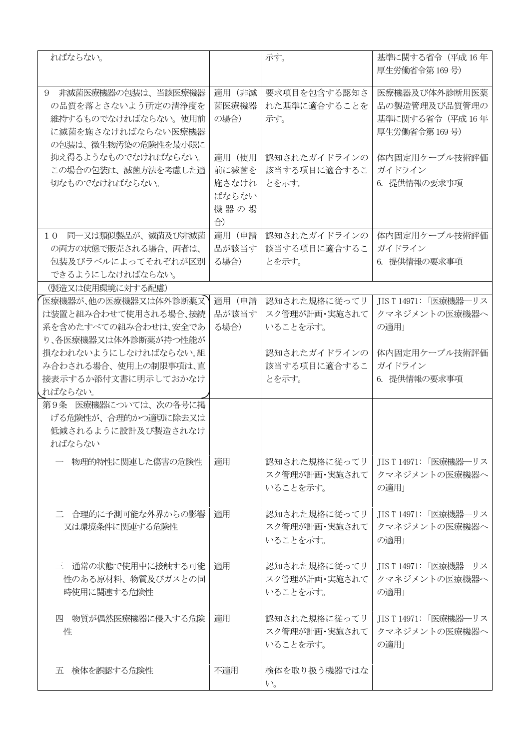| ればならない。                                                                                                           |                                                 | 示す。                                       | 基準に関する省令 (平成16年<br>厚生労働省令第169号)                                   |
|-------------------------------------------------------------------------------------------------------------------|-------------------------------------------------|-------------------------------------------|-------------------------------------------------------------------|
| 非滅菌医療機器の包装は、当該医療機器<br>9<br>の品質を落とさないよう所定の清浄度を<br>維持するものでなければならない。使用前<br>に滅菌を施さなければならない医療機器<br>の包装は、微生物汚染の危険性を最小限に | 適用 (非滅<br>菌医療機器<br>の場合)                         | 要求項目を包含する認知さ<br>れた基準に適合することを<br>示す。       | 医療機器及び体外診断用医薬<br>品の製造管理及び品質管理の<br>基準に関する省令 (平成16年<br>厚生労働省令第169号) |
| 抑え得るようなものでなければならない。<br>この場合の包装は、滅菌方法を考慮した適<br>切なものでなければならない。                                                      | 適用 (使用<br>前に滅菌を<br>施さなけれ<br>ばならない<br>機器の場<br>合) | 認知されたガイドラインの<br>該当する項目に適合するこ<br>とを示す。     | 体内固定用ケーブル技術評価<br>ガイドライン<br>6. 提供情報の要求事項                           |
| 同一又は類似製品が、滅菌及び非滅菌<br>1 <sub>0</sub><br>の両方の状態で販売される場合、両者は、<br>包装及びラベルによってそれぞれが区別<br>できるようにしなければならない。              | 適用(申請<br>品が該当す<br>る場合)                          | 認知されたガイドラインの<br>該当する項目に適合するこ<br>とを示す。     | 体内固定用ケーブル技術評価<br>ガイドライン<br>6. 提供情報の要求事項                           |
| (製造又は使用環境に対する配慮)                                                                                                  |                                                 |                                           |                                                                   |
| 医療機器が、他の医療機器又は体外診断薬又<br>は装置と組み合わせて使用される場合、接続<br>系を含めたすべての組み合わせは、安全であ<br>り、各医療機器又は体外診断薬が持つ性能が                      | 適用 (申請<br>品が該当す<br>る場合)                         | 認知された規格に従ってリ<br>スク管理が計画・実施されて<br>いることを示す。 | JIS T 14971: 「医療機器―リス<br>クマネジメントの医療機器へ<br>の適用」                    |
| 損なわれないようにしなければならない。組<br>み合わされる場合、使用上の制限事項は、直<br>接表示するか添付文書に明示しておかなけ<br>ればならない。                                    |                                                 | 認知されたガイドラインの<br>該当する項目に適合するこ<br>とを示す。     | 体内固定用ケーブル技術評価<br>ガイドライン<br>6. 提供情報の要求事項                           |
| 第9条 医療機器については、次の各号に掲<br>げる危険性が、合理的かつ適切に除去又は<br>低減されるように設計及び製造されなけ<br>ればならない                                       |                                                 |                                           |                                                                   |
| 物理的特性に関連した傷害の危険性                                                                                                  | 適用                                              | 認知された規格に従ってリ<br>スク管理が計画・実施されて<br>いることを示す。 | JIS T 14971: 「医療機器―リス<br>クマネジメントの医療機器へ<br>の適用」                    |
| 二 合理的に予測可能な外界からの影響<br>又は環境条件に関連する危険性                                                                              | 適用                                              | 認知された規格に従ってリ<br>スク管理が計画・実施されて<br>いることを示す。 | JIS T 14971: 「医療機器―リス<br>クマネジメントの医療機器へ<br>の適用」                    |
| 三 通常の状態で使用中に接触する可能<br>性のある原材料、物質及びガスとの同<br>時使用に関連する危険性                                                            | 適用                                              | 認知された規格に従ってリ<br>スク管理が計画・実施されて<br>いることを示す。 | JIS T 14971: 「医療機器―リス<br>クマネジメントの医療機器へ<br>の適用」                    |
| 四 物質が偶然医療機器に侵入する危険<br>性                                                                                           | 適用                                              | 認知された規格に従ってリ<br>スク管理が計画・実施されて<br>いることを示す。 | JIS T 14971:「医療機器―リス<br>クマネジメントの医療機器へ<br>の適用」                     |
| 五 検体を誤認する危険性                                                                                                      | 不適用                                             | 検体を取り扱う機器ではな<br>$\beta$                   |                                                                   |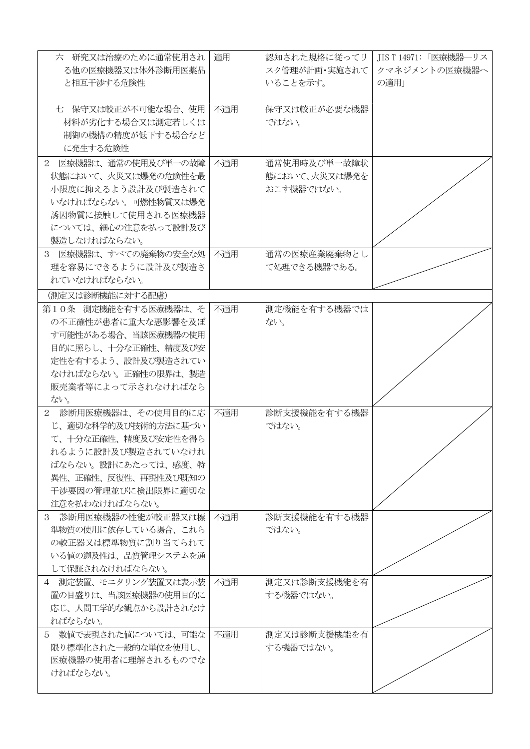| 六 研究又は治療のために通常使用され<br>る他の医療機器又は体外診断用医薬品     | 適用  | 認知された規格に従ってリ<br>スク管理が計画・実施されて | JIS T 14971: 「医療機器―リス<br>クマネジメントの医療機器へ |
|---------------------------------------------|-----|-------------------------------|----------------------------------------|
| と相互干渉する危険性                                  |     | いることを示す。                      | の適用」                                   |
| 七 保守又は較正が不可能な場合、使用                          | 不適用 | 保守又は較正が必要な機器                  |                                        |
| 材料が劣化する場合又は測定若しくは                           |     | ではない。                         |                                        |
| 制御の機構の精度が低下する場合など<br>に発生する危険性               |     |                               |                                        |
|                                             |     | 通常使用時及び単一故障状                  |                                        |
| 2 医療機器は、通常の使用及び単一の故障<br>状態において、火災又は爆発の危険性を最 | 不適用 | 態において、火災又は爆発を                 |                                        |
| 小限度に抑えるよう設計及び製造されて                          |     | おこす機器ではない。                    |                                        |
| いなければならない。可燃性物質又は爆発                         |     |                               |                                        |
| 誘因物質に接触して使用される医療機器                          |     |                               |                                        |
| については、細心の注意を払って設計及び                         |     |                               |                                        |
| 製造しなければならない。                                |     |                               |                                        |
| 3 医療機器は、すべての廃棄物の安全な処                        | 不適用 | 通常の医療産業廃棄物とし                  |                                        |
| 理を容易にできるように設計及び製造さ                          |     | て処理できる機器である。                  |                                        |
| れていなければならない。                                |     |                               |                                        |
| (測定又は診断機能に対する配慮)                            |     |                               |                                        |
| 第10条 測定機能を有する医療機器は、そ                        | 不適用 | 測定機能を有する機器では                  |                                        |
| の不正確性が患者に重大な悪影響を及ぼ                          |     | ない。                           |                                        |
| す可能性がある場合、当該医療機器の使用                         |     |                               |                                        |
| 目的に照らし、十分な正確性、精度及び安                         |     |                               |                                        |
| 定性を有するよう、設計及び製造されてい                         |     |                               |                                        |
| なければならない。正確性の限界は、製造                         |     |                               |                                        |
| 販売業者等によって示されなければなら                          |     |                               |                                        |
| ない。                                         |     |                               |                                        |
| 2 診断用医療機器は、その使用目的に応                         | 不適用 | 診断支援機能を有する機器                  |                                        |
| じ、適切な科学的及び技術的方法に基づい                         |     | ではない。                         |                                        |
| て、十分な正確性、精度及び安定性を得ら                         |     |                               |                                        |
| れるように設計及び製造されていなけれ                          |     |                               |                                        |
| ばならない。設計にあたっては、感度、特                         |     |                               |                                        |
| 異性、正確性、反復性、再現性及び既知の<br>干渉要因の管理並びに検出限界に適切な   |     |                               |                                        |
| 注意を払わなければならない。                              |     |                               |                                        |
| 3 診断用医療機器の性能が較正器又は標                         | 不適用 | 診断支援機能を有する機器                  |                                        |
| 準物質の使用に依存している場合、これら                         |     | ではない。                         |                                        |
| の較正器又は標準物質に割り当てられて                          |     |                               |                                        |
| いる値の遡及性は、品質管理システムを通                         |     |                               |                                        |
| して保証されなければならない。                             |     |                               |                                        |
| 4 測定装置、モニタリング装置又は表示装                        | 不適用 | 測定又は診断支援機能を有                  |                                        |
| 置の目盛りは、当該医療機器の使用目的に                         |     | する機器ではない。                     |                                        |
| 応じ、人間工学的な観点から設計されなけ                         |     |                               |                                        |
| ればならない。                                     |     |                               |                                        |
| 5 数値で表現された値については、可能な                        | 不適用 | 測定又は診断支援機能を有                  |                                        |
| 限り標準化された一般的な単位を使用し、                         |     | する機器ではない。                     |                                        |
| 医療機器の使用者に理解されるものでな                          |     |                               |                                        |
| ければならない。                                    |     |                               |                                        |
|                                             |     |                               |                                        |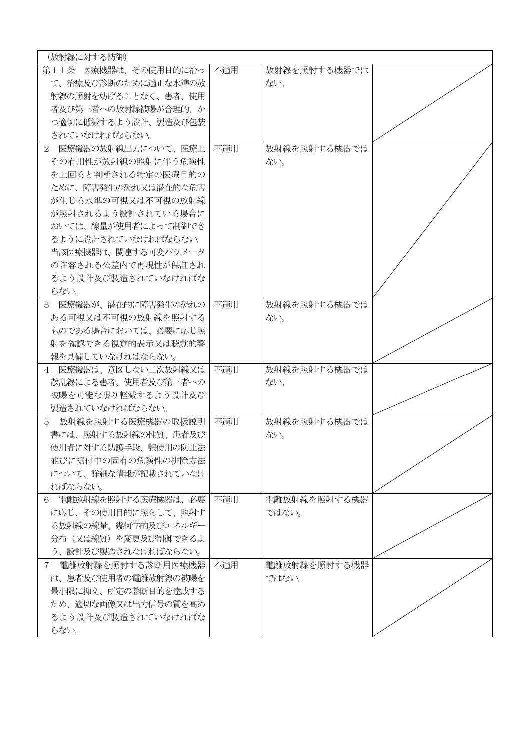| (放射線に対する防御)             |     |              |  |
|-------------------------|-----|--------------|--|
| 第11条 医療機器は、その使用目的に沿っ    | 不適用 | 放射線を照射する機器では |  |
| て、治療及び診断のために適正な水準の放     |     | ない。          |  |
| 射線の照射を妨げることなく、患者、使用     |     |              |  |
| 者及び第三者への放射線被曝が合理的、か     |     |              |  |
| つ適切に低減するよう設計、製造及び包装     |     |              |  |
| されていなければならない。           |     |              |  |
| 2 医療機器の放射線出力について、医療上    | 不適用 | 放射線を照射する機器では |  |
| その有用性が放射線の照射に伴う危険性      |     | ない。          |  |
| を上回ると判断される特定の医療目的の      |     |              |  |
| ために、障害発生の恐れ又は潜在的な危害     |     |              |  |
| が生じる水準の可視又は不可視の放射線      |     |              |  |
| が照射されるよう設計されている場合に      |     |              |  |
| おいては、線量が使用者によって制御でき     |     |              |  |
| るように設計されていなければならない。     |     |              |  |
| 当該医療機器は、関連する可変パラメータ     |     |              |  |
| の許容される公差内で再現性が保証され      |     |              |  |
| るよう設計及び製造されていなければな      |     |              |  |
| らない。                    |     |              |  |
| 3 医療機器が、潜在的に障害発生の恐れの    | 不適用 | 放射線を照射する機器では |  |
| ある可視又は不可視の放射線を照射する      |     | ない。          |  |
| ものである場合においては、必要に応じ照     |     |              |  |
| 射を確認できる視覚的表示又は聴覚的警      |     |              |  |
| 報を具備していなければならない。        |     |              |  |
| 4 医療機器は、意図しない二次放射線又は    | 不適用 | 放射線を照射する機器では |  |
| 散乱線による患者、使用者及び第三者への     |     | ない。          |  |
| 被曝を可能な限り軽減するよう設計及び      |     |              |  |
| 製造されていなければならない。         |     |              |  |
| 5 放射線を照射する医療機器の取扱説明     | 不適用 | 放射線を照射する機器では |  |
| 書には、照射する放射線の性質、患者及び     |     | ない。          |  |
| 使用者に対する防護手段、誤使用の防止法     |     |              |  |
| 並びに据付中の固有の危険性の排除方法      |     |              |  |
| について、詳細な情報が記載されていなけ     |     |              |  |
| ればならない。                 |     |              |  |
| 電離放射線を照射する医療機器は、必要<br>6 | 不適用 | 電離放射線を照射する機器 |  |
| に応じ、その使用目的に照らして、照射す     |     | ではない。        |  |
| る放射線の線量、幾何学的及びエネルギー     |     |              |  |
| 分布(又は線質)を変更及び制御できるよ     |     |              |  |
| う、設計及び製造されなければならない。     |     |              |  |
| 7 雷離放射線を照射する診断用医療機器     | 不適用 | 電離放射線を照射する機器 |  |
| は、患者及び使用者の電離放射線の被曝を     |     | ではない。        |  |
| 最小限に抑え、所定の診断目的を達成する     |     |              |  |
| ため、適切な画像又は出力信号の質を高め     |     |              |  |
| るよう設計及び製造されていなければな      |     |              |  |
| らない。                    |     |              |  |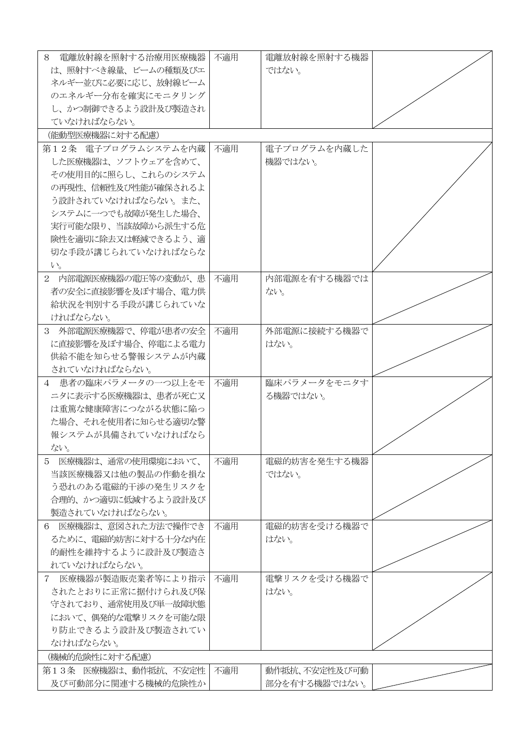| 8<br>電離放射線を照射する治療用医療機器                    | 不適用 | 電離放射線を照射する機器             |  |
|-------------------------------------------|-----|--------------------------|--|
| は、照射すべき線量、ビームの種類及びエ                       |     | ではない。                    |  |
| ネルギー並びに必要に応じ、放射線ビーム                       |     |                          |  |
| のエネルギー分布を確実にモニタリング                        |     |                          |  |
| し、かつ制御できるよう設計及び製造され                       |     |                          |  |
| ていなければならない。                               |     |                          |  |
| (能動型医療機器に対する配慮)                           |     |                          |  |
| 第12条 雷子プログラムシステムを内蔵                       | 不適用 | 電子プログラムを内蔵した             |  |
| した医療機器は、ソフトウェアを含めて、                       |     | 機器ではない。                  |  |
| その使用目的に照らし、これらのシステム                       |     |                          |  |
| の再現性、信頼性及び性能が確保されるよ                       |     |                          |  |
| う設計されていなければならない。また、                       |     |                          |  |
| システムに一つでも故障が発生した場合、                       |     |                          |  |
| 実行可能な限り、当該故障から派生する危                       |     |                          |  |
| 険性を適切に除去又は軽減できるよう、適                       |     |                          |  |
| 切な手段が講じられていなければならな                        |     |                          |  |
| $V_{o}$                                   |     |                          |  |
| 2 内部電源医療機器の電圧等の変動が、患                      | 不適用 | 内部電源を有する機器では             |  |
| 者の安全に直接影響を及ぼす場合、電力供                       |     | ない。                      |  |
| 給状況を判別する手段が講じられていな                        |     |                          |  |
| ければならない。                                  |     |                          |  |
| 3 外部電源医療機器で、停電が患者の安全                      | 不適用 | 外部電源に接続する機器で             |  |
| に直接影響を及ぼす場合、停電による電力                       |     | はない。                     |  |
| 供給不能を知らせる警報システムが内蔵                        |     |                          |  |
| されていなければならない。                             |     |                          |  |
|                                           |     |                          |  |
| 4 患者の臨床パラメータの一つ以上をモ                       | 不適用 | 臨床パラメータをモニタす<br>る機器ではない。 |  |
| ニタに表示する医療機器は、患者が死亡又<br>は重篤な健康障害につながる状態に陥っ |     |                          |  |
|                                           |     |                          |  |
| た場合、それを使用者に知らせる適切な警<br>報システムが具備されていなければなら |     |                          |  |
|                                           |     |                          |  |
| ない。                                       |     |                          |  |
| 医療機器は、通常の使用環境において、<br>5                   | 不適用 | 電磁的妨害を発生する機器             |  |
| 当該医療機器又は他の製品の作動を損な                        |     | ではない。                    |  |
| う恐れのある電磁的干渉の発生リスクを                        |     |                          |  |
| 合理的、かつ適切に低減するよう設計及び                       |     |                          |  |
| 製造されていなければならない。                           |     |                          |  |
| 医療機器は、意図された方法で操作でき<br>6                   | 不適用 | 電磁的妨害を受ける機器で             |  |
| るために、電磁的妨害に対する十分な内在                       |     | はない。                     |  |
| 的耐性を維持するように設計及び製造さ                        |     |                          |  |
| れていなければならない。                              |     |                          |  |
| 医療機器が製造販売業者等により指示<br>$7\degree$           | 不適用 | 電撃リスクを受ける機器で             |  |
| されたとおりに正常に据付けられ及び保                        |     | はない。                     |  |
| 守されており、通常使用及び単一故障状態                       |     |                          |  |
| において、偶発的な電撃リスクを可能な限                       |     |                          |  |
| り防止できるよう設計及び製造されてい                        |     |                          |  |
| なければならない。                                 |     |                          |  |
| (機械的危険性に対する配慮)                            |     |                          |  |
| 第13条 医療機器は、動作抵抗、不安定性                      | 不適用 | 動作抵抗、不安定性及び可動            |  |
| 及び可動部分に関連する機械的危険性か                        |     | 部分を有する機器ではない。            |  |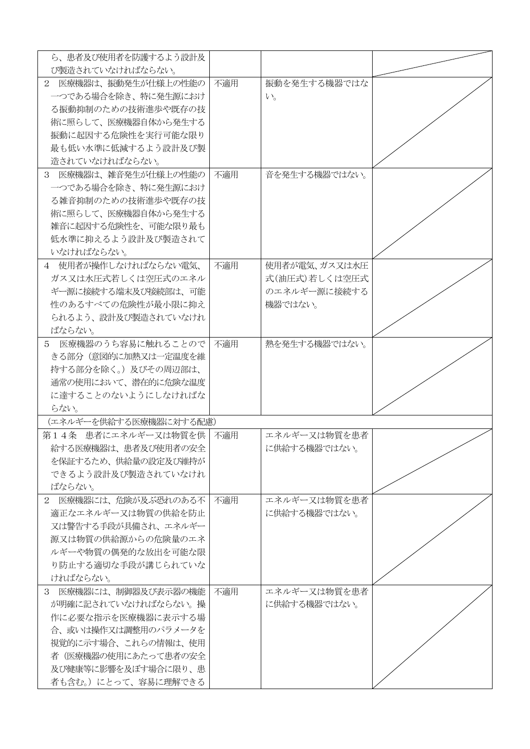| ら、患者及び使用者を防護するよう設計及                      |     |               |  |
|------------------------------------------|-----|---------------|--|
| び製造されていなければならない。<br>2 医療機器は、振動発生が仕様上の性能の | 不適用 | 振動を発生する機器ではな  |  |
| 一つである場合を除き、特に発生源におけ                      |     | $V_{o}$       |  |
| る振動抑制のための技術進歩や既存の技                       |     |               |  |
| 術に照らして、医療機器自体から発生する                      |     |               |  |
| 振動に起因する危険性を実行可能な限り                       |     |               |  |
| 最も低い水準に低減するよう設計及び製                       |     |               |  |
| 造されていなければならない。                           |     |               |  |
| 3 医療機器は、雑音発生が仕様上の性能の                     |     | 音を発生する機器ではない。 |  |
| 一つである場合を除き、特に発生源におけ                      | 不適用 |               |  |
| る雑音抑制のための技術進歩や既存の技                       |     |               |  |
| 術に照らして、医療機器自体から発生する                      |     |               |  |
| 雑音に起因する危険性を、可能な限り最も                      |     |               |  |
| 低水準に抑えるよう設計及び製造されて                       |     |               |  |
| いなければならない。                               |     |               |  |
| 4 使用者が操作しなければならない雷気、                     | 不適用 | 使用者が電気、ガス又は水圧 |  |
| ガス又は水圧式若しくは空圧式のエネル                       |     | 式(油圧式)若しくは空圧式 |  |
| ギー源に接続する端末及び接続部は、可能                      |     | のエネルギー源に接続する  |  |
| 性のあるすべての危険性が最小限に抑え                       |     | 機器ではない。       |  |
| られるよう、設計及び製造されていなけれ                      |     |               |  |
| ばならない。                                   |     |               |  |
| 医療機器のうち容易に触れることので   不適用<br>$5 -$         |     | 熱を発生する機器ではない。 |  |
| きる部分(意図的に加熱又は一定温度を維                      |     |               |  |
| 持する部分を除く。)及びその周辺部は、                      |     |               |  |
| 通常の使用において、潜在的に危険な温度                      |     |               |  |
| に達することのないようにしなければな                       |     |               |  |
| らない。                                     |     |               |  |
| (エネルギーを供給する医療機器に対する配慮)                   |     |               |  |
| 第14条 患者にエネルギー又は物質を供                      | 不適用 | エネルギー又は物質を患者  |  |
| 給する医療機器は、患者及び使用者の安全                      |     | に供給する機器ではない。  |  |
| を保証するため、供給量の設定及び維持が                      |     |               |  |
| できるよう設計及び製造されていなけれ                       |     |               |  |
| ばならない。                                   |     |               |  |
| 2 医療機器には、危険が及ぶ恐れのある不                     | 不適用 | エネルギー又は物質を患者  |  |
| 適正なエネルギー又は物質の供給を防止                       |     | に供給する機器ではない。  |  |
| 又は警告する手段が具備され、エネルギー                      |     |               |  |
| 源又は物質の供給源からの危険量のエネ                       |     |               |  |
| ルギーや物質の偶発的な放出を可能な限                       |     |               |  |
| り防止する適切な手段が講じられていな                       |     |               |  |
| ければならない。                                 |     |               |  |
| 3 医療機器には、制御器及び表示器の機能                     | 不適用 | エネルギー又は物質を患者  |  |
| が明確に記されていなければならない。操                      |     |               |  |
|                                          |     | に供給する機器ではない。  |  |
| 作に必要な指示を医療機器に表示する場                       |     |               |  |
| 合、或いは操作又は調整用のパラメータを                      |     |               |  |
| 視覚的に示す場合、これらの情報は、使用                      |     |               |  |
| 者(医療機器の使用にあたって患者の安全                      |     |               |  |
| 及び健康等に影響を及ぼす場合に限り、患                      |     |               |  |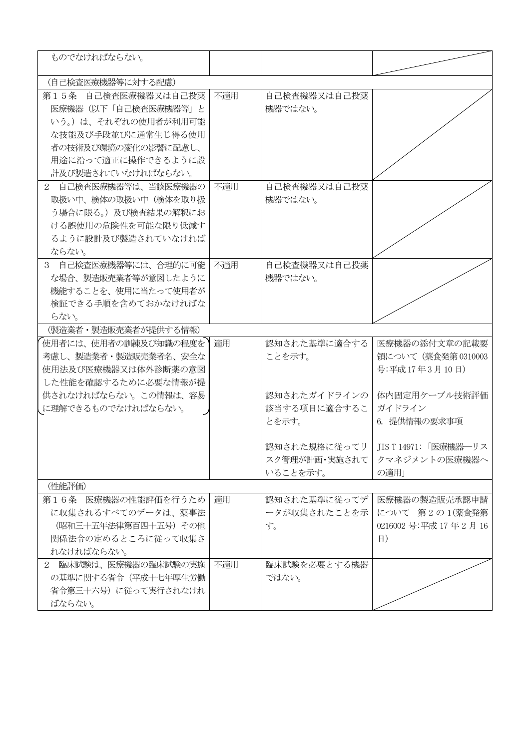| ものでなければならない。         |     |               |                                      |
|----------------------|-----|---------------|--------------------------------------|
| (自己検査医療機器等に対する配慮)    |     |               |                                      |
| 第15条 自己検査医療機器又は自己投薬  | 不適用 | 自己検査機器又は自己投薬  |                                      |
| 医療機器 (以下「自己検査医療機器等」と |     | 機器ではない。       |                                      |
| いう。)は、それぞれの使用者が利用可能  |     |               |                                      |
| な技能及び手段並びに通常生じ得る使用   |     |               |                                      |
| 者の技術及び環境の変化の影響に配慮し、  |     |               |                                      |
| 用途に沿って適正に操作できるように設   |     |               |                                      |
| 計及び製造されていなければならない。   |     |               |                                      |
| 2 自己検査医療機器等は、当該医療機器の | 不適用 | 自己検査機器又は自己投薬  |                                      |
| 取扱い中、検体の取扱い中(検体を取り扱  |     | 機器ではない。       |                                      |
| う場合に限る。)及び検査結果の解釈にお  |     |               |                                      |
| ける誤使用の危険性を可能な限り低減す   |     |               |                                      |
| るように設計及び製造されていなければ   |     |               |                                      |
| ならない。                |     |               |                                      |
| 3 自己検査医療機器等には、合理的に可能 | 不適用 | 自己検査機器又は自己投薬  |                                      |
| な場合、製造販売業者等が意図したように  |     | 機器ではない。       |                                      |
| 機能することを、使用に当たって使用者が  |     |               |                                      |
| 検証できる手順を含めておかなければな   |     |               |                                      |
| らない。                 |     |               |                                      |
| (製造業者·製造販売業者が提供する情報) |     |               |                                      |
| 使用者には、使用者の訓練及び知識の程度を | 適用  | 認知された基準に適合する  | 医療機器の添付文章の記載要                        |
| 考慮し、製造業者・製造販売業者名、安全な |     | ことを示す。        | 領について (薬食発第0310003                   |
| 使用法及び医療機器又は体外診断薬の意図  |     |               | 号:平成17年3月10日)                        |
| した性能を確認するために必要な情報が提  |     |               |                                      |
| 供されなければならない。この情報は、容易 |     | 認知されたガイドラインの  | 体内固定用ケーブル技術評価                        |
| に理解できるものでなければならない。   |     | 該当する項目に適合するこ  | ガイドライン                               |
|                      |     | とを示す。         | 6. 提供情報の要求事項                         |
|                      |     |               | 認知された規格に従ってリ   JIS T 14971: 「医療機器―リス |
|                      |     | スク管理が計画・実施されて | クマネジメントの医療機器へ                        |
|                      |     | いることを示す。      | の適用」                                 |
| (性能評価)               |     |               |                                      |
| 第16条 医療機器の性能評価を行うため  | 適用  | 認知された基準に従ってデ  | 医療機器の製造販売承認申請                        |
| に収集されるすべてのデータは、薬事法   |     | ータが収集されたことを示  | について 第2の1(薬食発第                       |
| (昭和三十五年法律第百四十五号) その他 |     | す。            | 0216002 号:平成 17年2月16                 |
| 関係法令の定めるところに従って収集さ   |     |               | $\vert$                              |
| れなければならない。           |     |               |                                      |
| 2 臨床試験は、医療機器の臨床試験の実施 | 不適用 | 臨床試験を必要とする機器  |                                      |
| の基準に関する省令(平成十七年厚生労働  |     | ではない。         |                                      |
| 省令第三十六号)に従って実行されなけれ  |     |               |                                      |
| ばならない。               |     |               |                                      |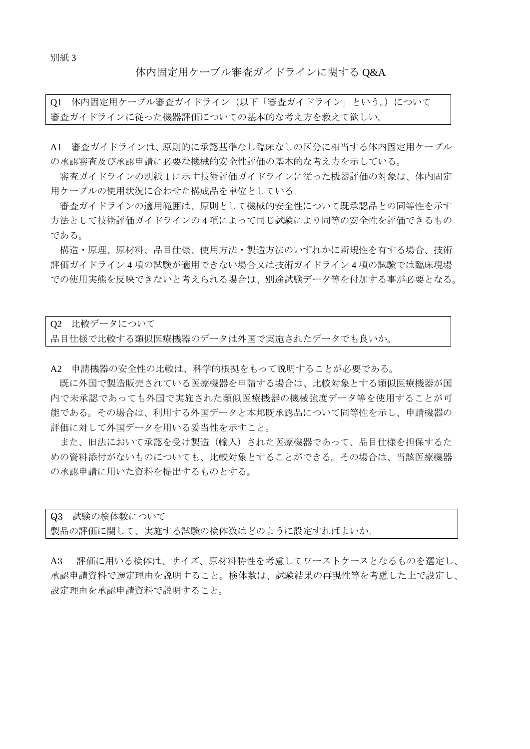### 体内固定用ケーブル審査ガイドラインに関する Q&A

Q1 体内固定用ケーブル審査ガイドライン(以下「審査ガイドライン」という。)について 審査ガイドラインに従った機器評価についての基本的な考え方を教えて欲しい。

A1 審査ガイドラインは、原則的に承認基準なし臨床なしの区分に相当する体内固定用ケーブル の承認審査及び承認申請に必要な機械的安全性評価の基本的な考え方を示している。

審査ガイドラインの別紙1に示す技術評価ガイドラインに従った機器評価の対象は、体内固定 用ケーブルの使用状況に合わせた構成品を単位としている。

審査ガイドラインの適用範囲は、原則として機械的安全性について既承認品との同等性を示す 方法として技術評価ガイドラインの 4 項によって同じ試験により同等の安全性を評価できるもの である。

構造・原理、原材料、品目仕様、使用方法・製造方法のいずれかに新規性を有する場合、技術 評価ガイドライン 4 項の試験が適用できない場合又は技術ガイドライン 4 項の試験では臨床現場 での使用実態を反映できないと考えられる場合は、別途試験データ等を付加する事が必要となる。

Q2 比較データについて 品目仕様で比較する類似医療機器のデータは外国で実施されたデータでも良いか。

A2 申請機器の安全性の比較は、科学的根拠をもって説明することが必要である。

既に外国で製造販売されている医療機器を申請する場合は、比較対象とする類似医療機器が国 内で未承認であっても外国で実施された類似医療機器の機械強度データ等を使用することが可 能である。その場合は、利用する外国データと本邦既承認品について同等性を示し、申請機器の 評価に対して外国データを用いる妥当性を示すこと。

また、旧法において承認を受け製造(輸入)された医療機器であって、品目仕様を担保するた めの資料添付がないものについても、比較対象とすることができる。その場合は、当該医療機器 の承認申請に用いた資料を提出するものとする。

| Q3 試験の検体数について |                                     |
|---------------|-------------------------------------|
|               | 製品の評価に関して、実施する試験の検体数はどのように設定すればよいか。 |

A3 評価に用いる検体は、サイズ、原材料特性を考慮してワーストケースとなるものを選定し、 承認申請資料で選定理由を説明すること。検体数は、試験結果の再現性等を考慮した上で設定し、 設定理由を承認申請資料で説明すること。